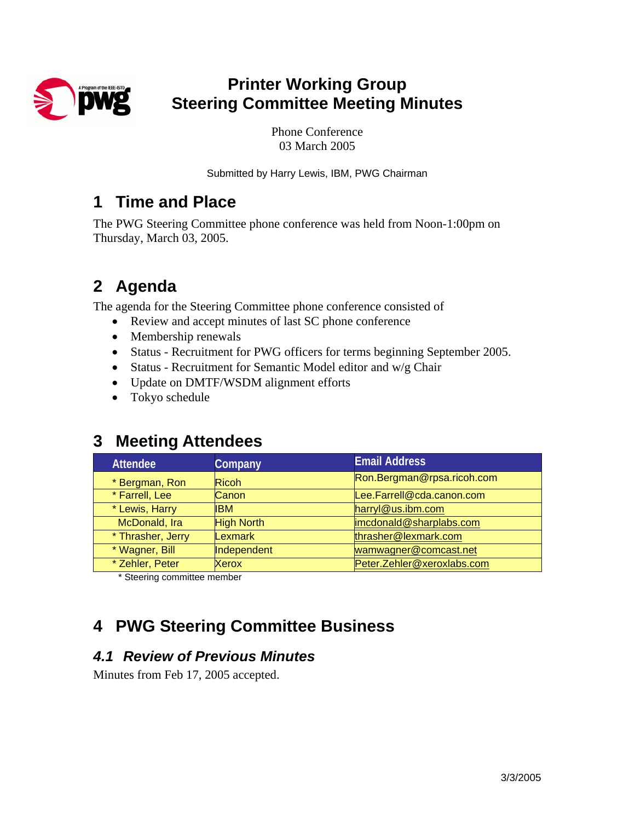

# **Printer Working Group Steering Committee Meeting Minutes**

Phone Conference 03 March 2005

Submitted by Harry Lewis, IBM, PWG Chairman

### **1 Time and Place**

The PWG Steering Committee phone conference was held from Noon-1:00pm on Thursday, March 03, 2005.

# **2 Agenda**

The agenda for the Steering Committee phone conference consisted of

- Review and accept minutes of last SC phone conference
- Membership renewals
- Status Recruitment for PWG officers for terms beginning September 2005.
- Status Recruitment for Semantic Model editor and w/g Chair
- Update on DMTF/WSDM alignment efforts
- Tokyo schedule

## **3 Meeting Attendees**

| <b>Attendee</b>   | Company           | <b>Email Address</b>       |  |
|-------------------|-------------------|----------------------------|--|
| * Bergman, Ron    | <b>Ricoh</b>      | Ron.Bergman@rpsa.ricoh.com |  |
| * Farrell, Lee    | <b>Canon</b>      | Lee.Farrell@cda.canon.com  |  |
| * Lewis, Harry    | <b>IBM</b>        | harryl@us.ibm.com          |  |
| McDonald, Ira     | <b>High North</b> | imcdonald@sharplabs.com    |  |
| * Thrasher, Jerry | <b>Lexmark</b>    | thrasher@lexmark.com       |  |
| * Wagner, Bill    | Independent       | wamwagner@comcast.net      |  |
| * Zehler, Peter   | Xerox             | Peter.Zehler@xeroxlabs.com |  |

\* Steering committee member

# **4 PWG Steering Committee Business**

#### *4.1 Review of Previous Minutes*

Minutes from Feb 17, 2005 accepted.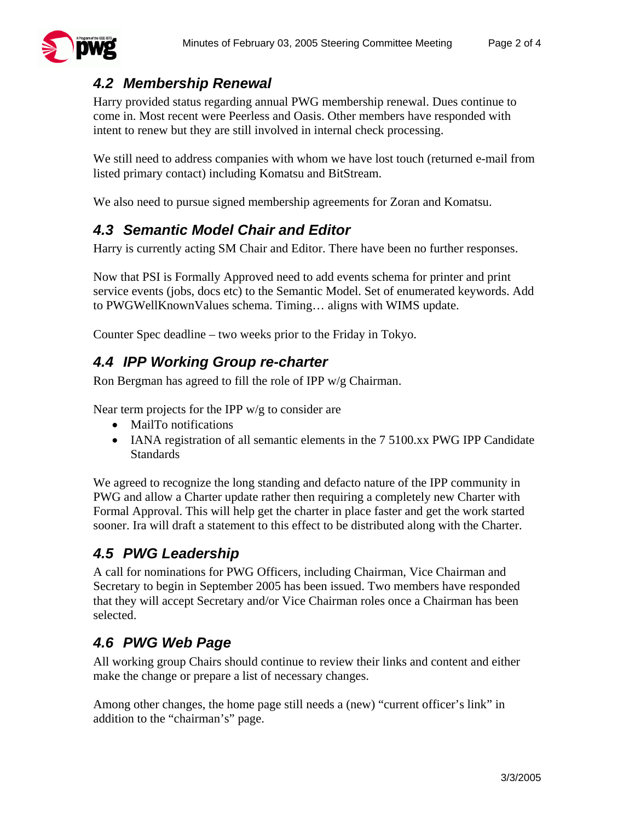

#### *4.2 Membership Renewal*

Harry provided status regarding annual PWG membership renewal. Dues continue to come in. Most recent were Peerless and Oasis. Other members have responded with intent to renew but they are still involved in internal check processing.

We still need to address companies with whom we have lost touch (returned e-mail from listed primary contact) including Komatsu and BitStream.

We also need to pursue signed membership agreements for Zoran and Komatsu.

#### *4.3 Semantic Model Chair and Editor*

Harry is currently acting SM Chair and Editor. There have been no further responses.

Now that PSI is Formally Approved need to add events schema for printer and print service events (jobs, docs etc) to the Semantic Model. Set of enumerated keywords. Add to PWGWellKnownValues schema. Timing… aligns with WIMS update.

Counter Spec deadline – two weeks prior to the Friday in Tokyo.

#### *4.4 IPP Working Group re-charter*

Ron Bergman has agreed to fill the role of IPP w/g Chairman.

Near term projects for the IPP w/g to consider are

- MailTo notifications
- IANA registration of all semantic elements in the 7 5100.xx PWG IPP Candidate **Standards**

We agreed to recognize the long standing and defacto nature of the IPP community in PWG and allow a Charter update rather then requiring a completely new Charter with Formal Approval. This will help get the charter in place faster and get the work started sooner. Ira will draft a statement to this effect to be distributed along with the Charter.

#### *4.5 PWG Leadership*

A call for nominations for PWG Officers, including Chairman, Vice Chairman and Secretary to begin in September 2005 has been issued. Two members have responded that they will accept Secretary and/or Vice Chairman roles once a Chairman has been selected.

#### *4.6 PWG Web Page*

All working group Chairs should continue to review their links and content and either make the change or prepare a list of necessary changes.

Among other changes, the home page still needs a (new) "current officer's link" in addition to the "chairman's" page.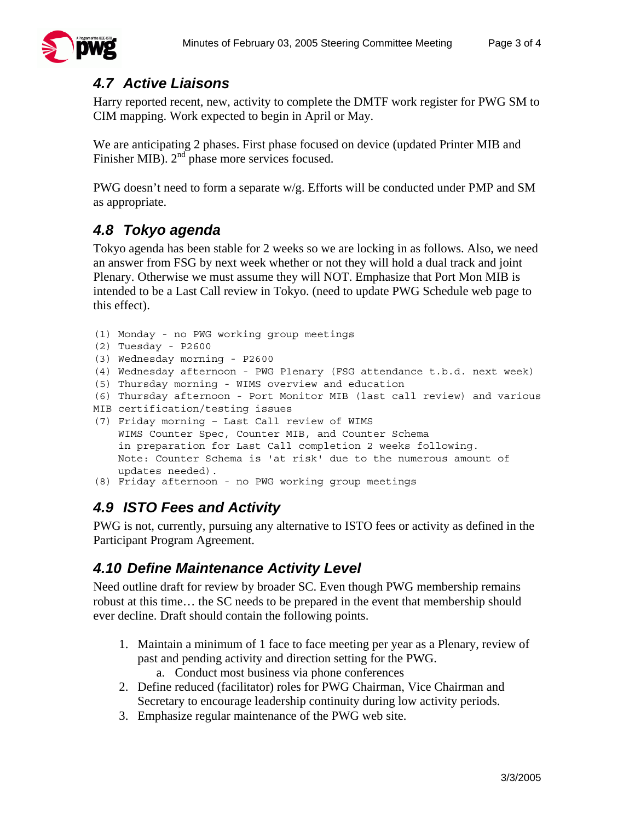

#### *4.7 Active Liaisons*

Harry reported recent, new, activity to complete the DMTF work register for PWG SM to CIM mapping. Work expected to begin in April or May.

We are anticipating 2 phases. First phase focused on device (updated Printer MIB and Finisher MIB). 2<sup>nd</sup> phase more services focused.

PWG doesn't need to form a separate w/g. Efforts will be conducted under PMP and SM as appropriate.

#### *4.8 Tokyo agenda*

Tokyo agenda has been stable for 2 weeks so we are locking in as follows. Also, we need an answer from FSG by next week whether or not they will hold a dual track and joint Plenary. Otherwise we must assume they will NOT. Emphasize that Port Mon MIB is intended to be a Last Call review in Tokyo. (need to update PWG Schedule web page to this effect).

```
(1) Monday - no PWG working group meetings 
(2) Tuesday - P2600 
(3) Wednesday morning - P2600 
(4) Wednesday afternoon - PWG Plenary (FSG attendance t.b.d. next week) 
(5) Thursday morning - WIMS overview and education 
(6) Thursday afternoon - Port Monitor MIB (last call review) and various 
MIB certification/testing issues 
(7) Friday morning – Last Call review of WIMS 
     WIMS Counter Spec, Counter MIB, and Counter Schema 
     in preparation for Last Call completion 2 weeks following. 
    Note: Counter Schema is 'at risk' due to the numerous amount of 
     updates needed). 
(8) Friday afternoon - no PWG working group meetings
```
#### *4.9 ISTO Fees and Activity*

PWG is not, currently, pursuing any alternative to ISTO fees or activity as defined in the Participant Program Agreement.

#### *4.10 Define Maintenance Activity Level*

Need outline draft for review by broader SC. Even though PWG membership remains robust at this time… the SC needs to be prepared in the event that membership should ever decline. Draft should contain the following points.

- 1. Maintain a minimum of 1 face to face meeting per year as a Plenary, review of past and pending activity and direction setting for the PWG.
	- a. Conduct most business via phone conferences
- 2. Define reduced (facilitator) roles for PWG Chairman, Vice Chairman and Secretary to encourage leadership continuity during low activity periods.
- 3. Emphasize regular maintenance of the PWG web site.